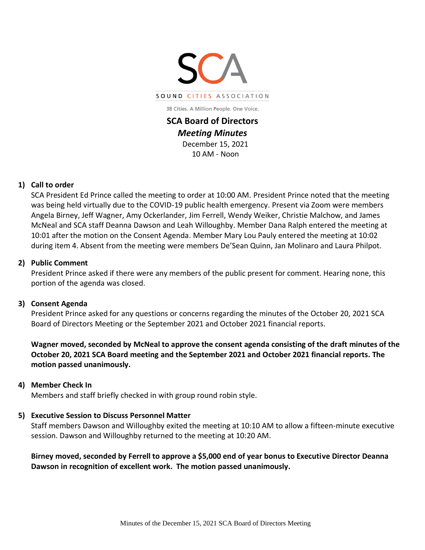

38 Cities. A Million People. One Voice.

**SCA Board of Directors**  *Meeting Minutes*  December 15, 2021 10 AM - Noon

### **1) Call to order**

SCA President Ed Prince called the meeting to order at 10:00 AM. President Prince noted that the meeting was being held virtually due to the COVID-19 public health emergency. Present via Zoom were members Angela Birney, Jeff Wagner, Amy Ockerlander, Jim Ferrell, Wendy Weiker, Christie Malchow, and James McNeal and SCA staff Deanna Dawson and Leah Willoughby. Member Dana Ralph entered the meeting at 10:01 after the motion on the Consent Agenda. Member Mary Lou Pauly entered the meeting at 10:02 during item 4. Absent from the meeting were members De'Sean Quinn, Jan Molinaro and Laura Philpot.

### **2) Public Comment**

President Prince asked if there were any members of the public present for comment. Hearing none, this portion of the agenda was closed.

## **3) Consent Agenda**

President Prince asked for any questions or concerns regarding the minutes of the October 20, 2021 SCA Board of Directors Meeting or the September 2021 and October 2021 financial reports.

**Wagner moved, seconded by McNeal to approve the consent agenda consisting of the draft minutes of the October 20, 2021 SCA Board meeting and the September 2021 and October 2021 financial reports. The motion passed unanimously.** 

### **4) Member Check In**

Members and staff briefly checked in with group round robin style.

## **5) Executive Session to Discuss Personnel Matter**

Staff members Dawson and Willoughby exited the meeting at 10:10 AM to allow a fifteen-minute executive session. Dawson and Willoughby returned to the meeting at 10:20 AM.

**Birney moved, seconded by Ferrell to approve a \$5,000 end of year bonus to Executive Director Deanna Dawson in recognition of excellent work. The motion passed unanimously.**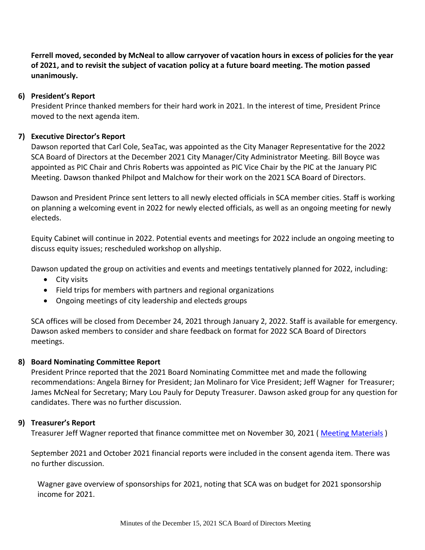**Ferrell moved, seconded by McNeal to allow carryover of vacation hours in excess of policies for the year of 2021, and to revisit the subject of vacation policy at a future board meeting. The motion passed unanimously.**

## **6) President's Report**

President Prince thanked members for their hard work in 2021. In the interest of time, President Prince moved to the next agenda item.

## **7) Executive Director's Report**

Dawson reported that Carl Cole, SeaTac, was appointed as the City Manager Representative for the 2022 SCA Board of Directors at the December 2021 City Manager/City Administrator Meeting. Bill Boyce was appointed as PIC Chair and Chris Roberts was appointed as PIC Vice Chair by the PIC at the January PIC Meeting. Dawson thanked Philpot and Malchow for their work on the 2021 SCA Board of Directors.

Dawson and President Prince sent letters to all newly elected officials in SCA member cities. Staff is working on planning a welcoming event in 2022 for newly elected officials, as well as an ongoing meeting for newly electeds.

Equity Cabinet will continue in 2022. Potential events and meetings for 2022 include an ongoing meeting to discuss equity issues; rescheduled workshop on allyship.

Dawson updated the group on activities and events and meetings tentatively planned for 2022, including:

- City visits
- Field trips for members with partners and regional organizations
- Ongoing meetings of city leadership and electeds groups

SCA offices will be closed from December 24, 2021 through January 2, 2022. Staff is available for emergency. Dawson asked members to consider and share feedback on format for 2022 SCA Board of Directors meetings.

### **8) Board Nominating Committee Report**

President Prince reported that the 2021 Board Nominating Committee met and made the following recommendations: Angela Birney for President; Jan Molinaro for Vice President; Jeff Wagner for Treasurer; James McNeal for Secretary; Mary Lou Pauly for Deputy Treasurer. Dawson asked group for any question for candidates. There was no further discussion.

### **9) Treasurer's Report**

Treasurer Jeff Wagner reported that finance committee met on November 30, 2021 ( [Meeting Materials](http://soundcities.org/wp-content/uploads/2021/12/November-30-2021-SCA-Finance-Committee-Meeting-Packet.pdf) )

September 2021 and October 2021 financial reports were included in the consent agenda item. There was no further discussion.

Wagner gave overview of sponsorships for 2021, noting that SCA was on budget for 2021 sponsorship income for 2021.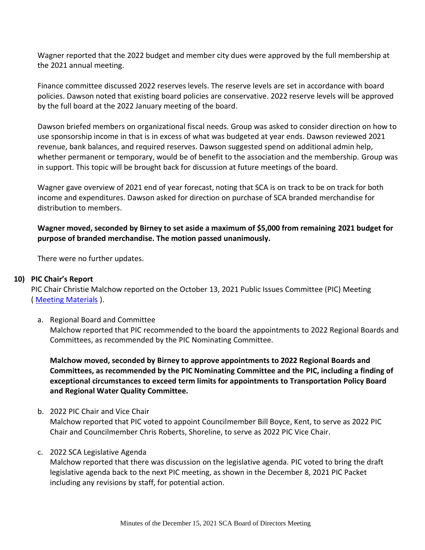Wagner reported that the 2022 budget and member city dues were approved by the full membership at the 2021 annual meeting.

Finance committee discussed 2022 reserves levels. The reserve levels are set in accordance with board policies. Dawson noted that existing board policies are conservative. 2022 reserve levels will be approved by the full board at the 2022 January meeting of the board.

Dawson briefed members on organizational fiscal needs. Group was asked to consider direction on how to use sponsorship income in that is in excess of what was budgeted at year ends. Dawson reviewed 2021 revenue, bank balances, and required reserves. Dawson suggested spend on additional admin help, whether permanent or temporary, would be of benefit to the association and the membership. Group was in support. This topic will be brought back for discussion at future meetings of the board.

Wagner gave overview of 2021 end of year forecast, noting that SCA is on track to be on track for both income and expenditures. Dawson asked for direction on purchase of SCA branded merchandise for distribution to members.

# **Wagner moved, seconded by Birney to set aside a maximum of \$5,000 from remaining 2021 budget for purpose of branded merchandise. The motion passed unanimously.**

There were no further updates.

## **10) PIC Chair's Report**

PIC Chair Christie Malchow reported on the October 13, 2021 Public Issues Committee (PIC) Meeting ( [Meeting Materials](http://soundcities.org/wp-content/uploads/2021/12/December-8-2021-SCA-PIC-Packet.pdf) ).

a. Regional Board and Committee

Malchow reported that PIC recommended to the board the appointments to 2022 Regional Boards and Committees, as recommended by the PIC Nominating Committee.

**Malchow moved, seconded by Birney to approve appointments to 2022 Regional Boards and Committees, as recommended by the PIC Nominating Committee and the PIC, including a finding of exceptional circumstances to exceed term limits for appointments to Transportation Policy Board and Regional Water Quality Committee.**

b. 2022 PIC Chair and Vice Chair

Malchow reported that PIC voted to appoint Councilmember Bill Boyce, Kent, to serve as 2022 PIC Chair and Councilmember Chris Roberts, Shoreline, to serve as 2022 PIC Vice Chair.

## c. 2022 SCA Legislative Agenda

Malchow reported that there was discussion on the legislative agenda. PIC voted to bring the draft legislative agenda back to the next PIC meeting, as shown in the December 8, 2021 PIC Packet including any revisions by staff, for potential action.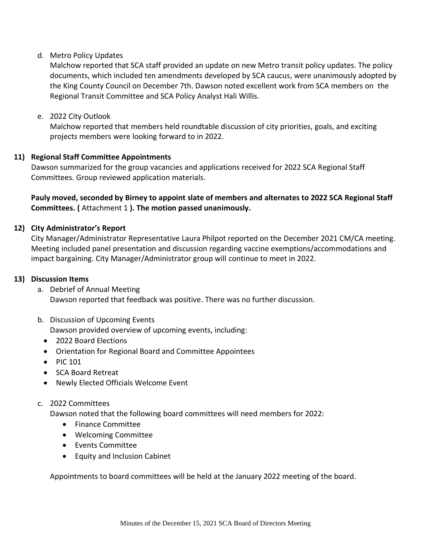## d. Metro Policy Updates

Malchow reported that SCA staff provided an update on new Metro transit policy updates. The policy documents, which included ten amendments developed by SCA caucus, were unanimously adopted by the King County Council on December 7th. Dawson noted excellent work from SCA members on the Regional Transit Committee and SCA Policy Analyst Hali Willis.

e. 2022 City Outlook

Malchow reported that members held roundtable discussion of city priorities, goals, and exciting projects members were looking forward to in 2022.

### **11) Regional Staff Committee Appointments**

Dawson summarized for the group vacancies and applications received for 2022 SCA Regional Staff Committees. Group reviewed application materials.

**Pauly moved, seconded by Birney to appoint slate of members and alternates to 2022 SCA Regional Staff Committees. (** Attachment 1 **). The motion passed unanimously.**

### **12) City Administrator's Report**

City Manager/Administrator Representative Laura Philpot reported on the December 2021 CM/CA meeting. Meeting included panel presentation and discussion regarding vaccine exemptions/accommodations and impact bargaining. City Manager/Administrator group will continue to meet in 2022.

### **13) Discussion Items**

- a. Debrief of Annual Meeting Dawson reported that feedback was positive. There was no further discussion.
- b. Discussion of Upcoming Events

Dawson provided overview of upcoming events, including:

- 2022 Board Elections
- Orientation for Regional Board and Committee Appointees
- PIC 101
- SCA Board Retreat
- Newly Elected Officials Welcome Event

### c. 2022 Committees

Dawson noted that the following board committees will need members for 2022:

- Finance Committee
- Welcoming Committee
- Events Committee
- Equity and Inclusion Cabinet

Appointments to board committees will be held at the January 2022 meeting of the board.